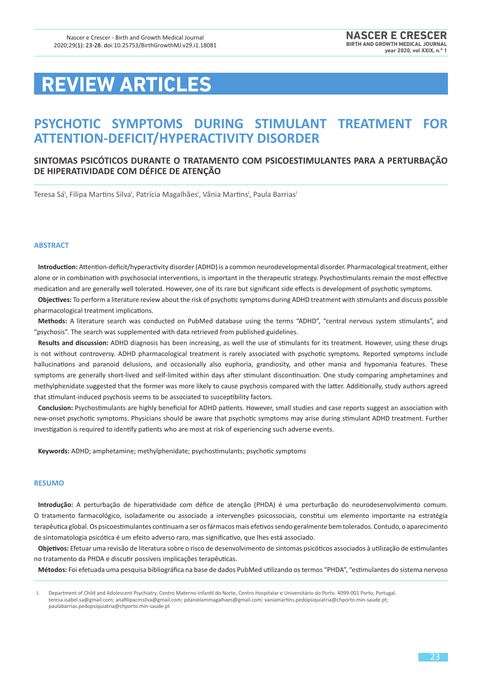# **REVIEW ARTICLES**

## **PSYCHOTIC SYMPTOMS DURING STIMULANT TREATMENT FOR ATTENTION-DEFICIT/HYPERACTIVITY DISORDER**

### **SINTOMAS PSICÓTICOS DURANTE O TRATAMENTO COM PSICOESTIMULANTES PARA A PERTURBAÇÃO DE HIPERATIVIDADE COM DÉFICE DE ATENÇÃO**

Teresa Sá', Filipa Martins Silva', Patrícia Magalhães', Vânia Martins', Paula Barrias'

#### **ABSTRACT**

**Introduction:** Attention-deficit/hyperactivity disorder (ADHD) is a common neurodevelopmental disorder. Pharmacological treatment, either alone or in combination with psychosocial interventions, is important in the therapeutic strategy. Psychostimulants remain the most effective medication and are generally well tolerated. However, one of its rare but significant side effects is development of psychotic symptoms.

**Objectives:** To perform a literature review about the risk of psychotic symptoms during ADHD treatment with stimulants and discuss possible pharmacological treatment implications.

**Methods:** A literature search was conducted on PubMed database using the terms "ADHD", "central nervous system stimulants", and "psychosis". The search was supplemented with data retrieved from published guidelines.

**Results and discussion:** ADHD diagnosis has been increasing, as well the use of stimulants for its treatment. However, using these drugs is not without controversy. ADHD pharmacological treatment is rarely associated with psychotic symptoms. Reported symptoms include hallucinations and paranoid delusions, and occasionally also euphoria, grandiosity, and other mania and hypomania features. These symptoms are generally short-lived and self-limited within days after stimulant discontinuation. One study comparing amphetamines and methylphenidate suggested that the former was more likely to cause psychosis compared with the latter. Additionally, study authors agreed that stimulant-induced psychosis seems to be associated to susceptibility factors.

**Conclusion:** Psychostimulants are highly beneficial for ADHD patients. However, small studies and case reports suggest an association with new-onset psychotic symptoms. Physicians should be aware that psychotic symptoms may arise during stimulant ADHD treatment. Further investigation is required to identify patients who are most at risk of experiencing such adverse events.

**Keywords:** ADHD; amphetamine; methylphenidate; psychostimulants; psychotic symptoms

#### **RESUMO**

**Introdução:** A perturbação de hiperatividade com défice de atenção (PHDA) é uma perturbação do neurodesenvolvimento comum. O tratamento farmacológico, isoladamente ou associado a intervenções psicossociais, constitui um elemento importante na estratégia terapêutica global. Os psicoestimulantes continuam a ser os fármacos mais efetivos sendo geralmente bem tolerados. Contudo, o aparecimento de sintomatologia psicótica é um efeito adverso raro, mas significativo, que lhes está associado.

**Objetivos:** Efetuar uma revisão de literatura sobre o risco de desenvolvimento de sintomas psicóticos associados à utilização de estimulantes no tratamento da PHDA e discutir possíveis implicações terapêuticas.

**Métodos:** Foi efetuada uma pesquisa bibliográfica na base de dados PubMed utilizando os termos "PHDA", "estimulantes do sistema nervoso

I. Department of Child and Adolescent Psychiatry, Centro Materno-Infantil do Norte, Centro Hospitalar e Universitário do Porto. 4099-001 Porto, Portugal. teresa.isabel.sa@gmail.com; anafilipacmsilva@gmail.com; pdanielammagalhaes@gmail.com; vaniamartins.pedopsiquiatria@chporto.min-saude.pt; paulabarrias.pedopsiquiatria@chporto.min-saude.pt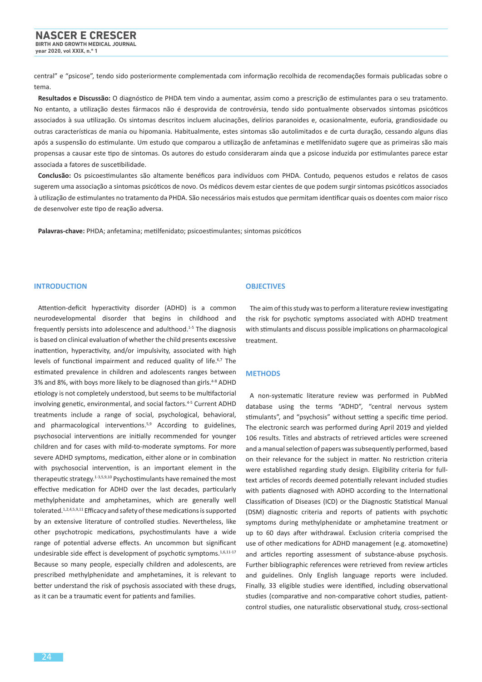central" e "psicose", tendo sido posteriormente complementada com informação recolhida de recomendações formais publicadas sobre o tema.

**Resultados e Discussão:** O diagnóstico de PHDA tem vindo a aumentar, assim como a prescrição de estimulantes para o seu tratamento. No entanto, a utilização destes fármacos não é desprovida de controvérsia, tendo sido pontualmente observados sintomas psicóticos associados à sua utilização. Os sintomas descritos incluem alucinações, delírios paranoides e, ocasionalmente, euforia, grandiosidade ou outras características de mania ou hipomania. Habitualmente, estes sintomas são autolimitados e de curta duração, cessando alguns dias após a suspensão do estimulante. Um estudo que comparou a utilização de anfetaminas e metilfenidato sugere que as primeiras são mais propensas a causar este tipo de sintomas. Os autores do estudo consideraram ainda que a psicose induzida por estimulantes parece estar associada a fatores de suscetibilidade.

**Conclusão:** Os psicoestimulantes são altamente benéficos para indivíduos com PHDA. Contudo, pequenos estudos e relatos de casos sugerem uma associação a sintomas psicóticos de novo. Os médicos devem estar cientes de que podem surgir sintomas psicóticos associados à utilização de estimulantes no tratamento da PHDA. São necessários mais estudos que permitam identificar quais os doentes com maior risco de desenvolver este tipo de reação adversa.

**Palavras-chave:** PHDA; anfetamina; metilfenidato; psicoestimulantes; sintomas psicóticos

#### **INTRODUCTION**

Attention-deficit hyperactivity disorder (ADHD) is a common neurodevelopmental disorder that begins in childhood and frequently persists into adolescence and adulthood.1-5 The diagnosis is based on clinical evaluation of whether the child presents excessive inattention, hyperactivity, and/or impulsivity, associated with high levels of functional impairment and reduced quality of life.<sup>6,7</sup> The estimated prevalence in children and adolescents ranges between 3% and 8%, with boys more likely to be diagnosed than girls.<sup>4-8</sup> ADHD etiology is not completely understood, but seems to be multifactorial involving genetic, environmental, and social factors.<sup>4-5</sup> Current ADHD treatments include a range of social, psychological, behavioral, and pharmacological interventions.<sup>5,9</sup> According to guidelines, psychosocial interventions are initially recommended for younger children and for cases with mild-to-moderate symptoms. For more severe ADHD symptoms, medication, either alone or in combination with psychosocial intervention, is an important element in the therapeutic strategy.1-3,5,9,10 Psychostimulants have remained the most effective medication for ADHD over the last decades, particularly methylphenidate and amphetamines, which are generally well tolerated.1,2,4,5,9,11 Efficacy and safety of these medications is supported by an extensive literature of controlled studies. Nevertheless, like other psychotropic medications, psychostimulants have a wide range of potential adverse effects. An uncommon but significant undesirable side effect is development of psychotic symptoms.1,6,11-17 Because so many people, especially children and adolescents, are prescribed methylphenidate and amphetamines, it is relevant to better understand the risk of psychosis associated with these drugs, as it can be a traumatic event for patients and families.

#### **OBJECTIVES**

The aim of this study was to perform a literature review investigating the risk for psychotic symptoms associated with ADHD treatment with stimulants and discuss possible implications on pharmacological treatment.

#### **METHODS**

A non-systematic literature review was performed in PubMed database using the terms "ADHD", "central nervous system stimulants", and "psychosis" without setting a specific time period. The electronic search was performed during April 2019 and yielded 106 results. Titles and abstracts of retrieved articles were screened and a manual selection of papers was subsequently performed, based on their relevance for the subject in matter. No restriction criteria were established regarding study design. Eligibility criteria for fulltext articles of records deemed potentially relevant included studies with patients diagnosed with ADHD according to the International Classification of Diseases (ICD) or the Diagnostic Statistical Manual (DSM) diagnostic criteria and reports of patients with psychotic symptoms during methylphenidate or amphetamine treatment or up to 60 days after withdrawal. Exclusion criteria comprised the use of other medications for ADHD management (e.g. atomoxetine) and articles reporting assessment of substance-abuse psychosis. Further bibliographic references were retrieved from review articles and guidelines. Only English language reports were included. Finally, 33 eligible studies were identified, including observational studies (comparative and non-comparative cohort studies, patientcontrol studies, one naturalistic observational study, cross-sectional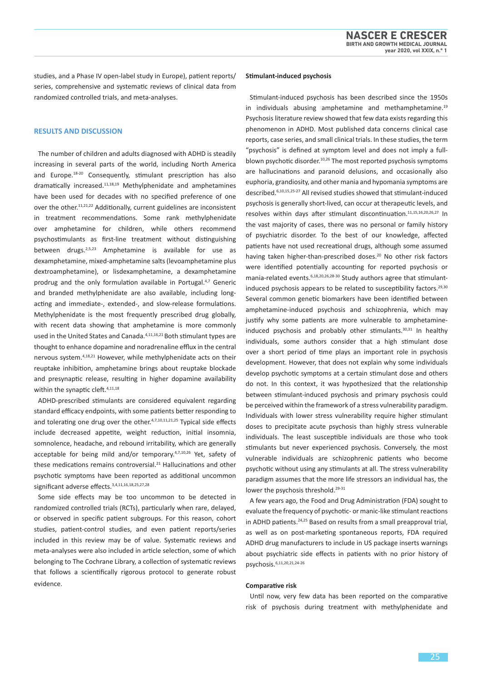studies, and a Phase IV open-label study in Europe), patient reports/ series, comprehensive and systematic reviews of clinical data from randomized controlled trials, and meta-analyses.

#### **RESULTS AND DISCUSSION**

The number of children and adults diagnosed with ADHD is steadily increasing in several parts of the world, including North America and Europe.18-20 Consequently, stimulant prescription has also dramatically increased.11,18,19 Methylphenidate and amphetamines have been used for decades with no specified preference of one over the other.<sup>11,21,22</sup> Additionally, current guidelines are inconsistent in treatment recommendations. Some rank methylphenidate over amphetamine for children, while others recommend psychostimulants as first-line treatment without distinguishing between drugs.2,5,23 Amphetamine is available for use as dexamphetamine, mixed-amphetamine salts (levoamphetamine plus dextroamphetamine), or lisdexamphetamine, a dexamphetamine prodrug and the only formulation available in Portugal.4,7 Generic and branded methylphenidate are also available, including longacting and immediate-, extended-, and slow-release formulations. Methylphenidate is the most frequently prescribed drug globally, with recent data showing that amphetamine is more commonly used in the United States and Canada.4,11,16,21 Both stimulant types are thought to enhance dopamine and noradrenaline efflux in the central nervous system.4,18,21 However, while methylphenidate acts on their reuptake inhibition, amphetamine brings about reuptake blockade and presynaptic release, resulting in higher dopamine availability within the synaptic cleft.<sup>4,11,18</sup>

ADHD-prescribed stimulants are considered equivalent regarding standard efficacy endpoints, with some patients better responding to and tolerating one drug over the other. $4,7,10,11,21,25$  Typical side effects include decreased appetite, weight reduction, initial insomnia, somnolence, headache, and rebound irritability, which are generally acceptable for being mild and/or temporary.<sup>4,7,10,26</sup> Yet, safety of these medications remains controversial.<sup>21</sup> Hallucinations and other psychotic symptoms have been reported as additional uncommon significant adverse effects.3,4,11,16,18,25,27,28

Some side effects may be too uncommon to be detected in randomized controlled trials (RCTs), particularly when rare, delayed, or observed in specific patient subgroups. For this reason, cohort studies, patient-control studies, and even patient reports/series included in this review may be of value. Systematic reviews and meta-analyses were also included in article selection, some of which belonging to The Cochrane Library, a collection of systematic reviews that follows a scientifically rigorous protocol to generate robust evidence.

#### **Stimulant-induced psychosis**

Stimulant-induced psychosis has been described since the 1950s in individuals abusing amphetamine and methamphetamine.19 Psychosis literature review showed that few data exists regarding this phenomenon in ADHD. Most published data concerns clinical case reports, case series, and small clinical trials. In these studies, the term "psychosis" is defined at symptom level and does not imply a fullblown psychotic disorder.<sup>10,26</sup> The most reported psychosis symptoms are hallucinations and paranoid delusions, and occasionally also euphoria, grandiosity, and other mania and hypomania symptoms are described.6,10,15,25-27 All revised studies showed that stimulant-induced psychosis is generally short-lived, can occur at therapeutic levels, and resolves within days after stimulant discontinuation.<sup>11,15,16,20,26,27</sup> In the vast majority of cases, there was no personal or family history of psychiatric disorder. To the best of our knowledge, affected patients have not used recreational drugs, although some assumed having taken higher-than-prescribed doses.<sup>20</sup> No other risk factors were identified potentially accounting for reported psychosis or mania-related events. 6,18,20,26,28-30 Study authors agree that stimulantinduced psychosis appears to be related to susceptibility factors.29,30 Several common genetic biomarkers have been identified between amphetamine-induced psychosis and schizophrenia, which may justify why some patients are more vulnerable to amphetamineinduced psychosis and probably other stimulants.<sup>30,31</sup> In healthy individuals, some authors consider that a high stimulant dose over a short period of time plays an important role in psychosis development. However, that does not explain why some individuals develop psychotic symptoms at a certain stimulant dose and others do not. In this context, it was hypothesized that the relationship between stimulant-induced psychosis and primary psychosis could be perceived within the framework of a stress vulnerability paradigm. Individuals with lower stress vulnerability require higher stimulant doses to precipitate acute psychosis than highly stress vulnerable individuals. The least susceptible individuals are those who took stimulants but never experienced psychosis. Conversely, the most vulnerable individuals are schizophrenic patients who become psychotic without using any stimulants at all. The stress vulnerability paradigm assumes that the more life stressors an individual has, the lower the psychosis threshold.<sup>29-31</sup>

A few years ago, the Food and Drug Administration (FDA) sought to evaluate the frequency of psychotic- or manic-like stimulant reactions in ADHD patients.<sup>24,25</sup> Based on results from a small preapproval trial, as well as on post-marketing spontaneous reports, FDA required ADHD drug manufacturers to include in US package inserts warnings about psychiatric side effects in patients with no prior history of psychosis.6,11,20,21,24-26

#### **Comparative risk**

Until now, very few data has been reported on the comparative risk of psychosis during treatment with methylphenidate and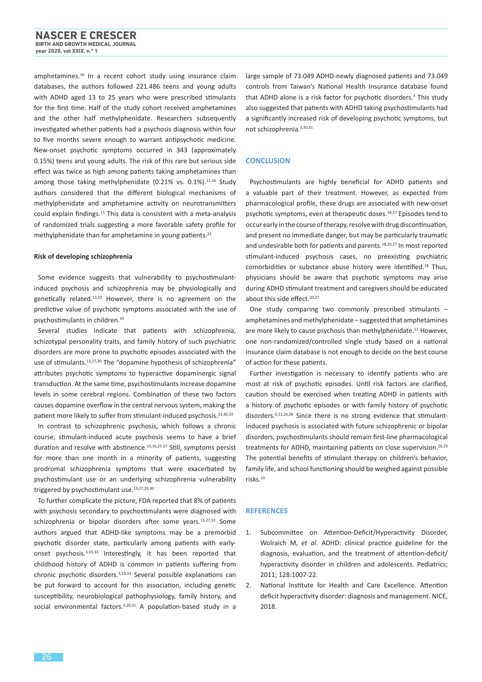amphetamines.<sup>16</sup> In a recent cohort study using insurance claim databases, the authors followed 221.486 teens and young adults with ADHD aged 13 to 25 years who were prescribed stimulants for the first time. Half of the study cohort received amphetamines and the other half methylphenidate. Researchers subsequently investigated whether patients had a psychosis diagnosis within four to five months severe enough to warrant antipsychotic medicine. New-onset psychotic symptoms occurred in 343 (approximately 0.15%) teens and young adults. The risk of this rare but serious side effect was twice as high among patients taking amphetamines than among those taking methylphenidate (0.21% vs. 0.1%). $11,16$  Study authors considered that the different biological mechanisms of methylphenidate and amphetamine activity on neurotransmitters could explain findings.<sup>11</sup> This data is consistent with a meta-analysis of randomized trials suggesting a more favorable safety profile for methylphenidate than for amphetamine in young patients.<sup>32</sup>

#### **Risk of developing schizophrenia**

Some evidence suggests that vulnerability to psychostimulantinduced psychosis and schizophrenia may be physiologically and genetically related.13,33 However, there is no agreement on the predictive value of psychotic symptoms associated with the use of psychostimulants in children.<sup>33</sup>

Several studies indicate that patients with schizophrenia, schizotypal personality traits, and family history of such psychiatric disorders are more prone to psychotic episodes associated with the use of stimulants.<sup>13,27,30</sup> The "dopamine hypothesis of schizophrenia" attributes psychotic symptoms to hyperactive dopaminergic signal transduction. At the same time, psychostimulants increase dopamine levels in some cerebral regions. Combination of these two factors causes dopamine overflow in the central nervous system, making the patient more likely to suffer from stimulant-induced psychosis.13,30,33

In contrast to schizophrenic psychosis, which follows a chronic course, stimulant-induced acute psychosis seems to have a brief duration and resolve with abstinence.<sup>13,16,25-27</sup> Still, symptoms persist for more than one month in a minority of patients, suggesting prodromal schizophrenia symptoms that were exacerbated by psychostimulant use or an underlying schizophrenia vulnerability triggered by psychostimulant use.<sup>13,27,29,30</sup>

To further complicate the picture, FDA reported that 8% of patients with psychosis secondary to psychostimulants were diagnosed with schizophrenia or bipolar disorders after some years.<sup>13,27,33</sup> Some authors argued that ADHD-like symptoms may be a premorbid psychotic disorder state, particularly among patients with earlyonset psychosis.3,19,33 Interestingly, it has been reported that childhood history of ADHD is common in patients suffering from chronic psychotic disorders.3,19,33 Several possible explanations can be put forward to account for this association, including genetic susceptibility, neurobiological pathophysiology, family history, and social environmental factors.<sup>3,30,31</sup> A population-based study in a

large sample of 73.049 ADHD-newly diagnosed patients and 73.049 controls from Taiwan's National Health Insurance database found that ADHD alone is a risk factor for psychotic disorders.<sup>3</sup> This study also suggested that patients with ADHD taking psychostimulants had a significantly increased risk of developing psychotic symptoms, but not schizophrenia.3,30,31

#### **CONCLUSION**

Psychostimulants are highly beneficial for ADHD patients and a valuable part of their treatment. However, as expected from pharmacological profile, these drugs are associated with new-onset psychotic symptoms, even at therapeutic doses.18,27 Episodes tend to occur early in the course of therapy, resolve with drug discontinuation, and present no immediate danger, but may be particularly traumatic and undesirable both for patients and parents.<sup>18,20,27</sup> In most reported stimulant-induced psychosis cases, no preexisting psychiatric comorbidities or substance abuse history were identified.18 Thus, physicians should be aware that psychotic symptoms may arise during ADHD stimulant treatment and caregivers should be educated about this side effect.<sup>20,27</sup>

One study comparing two commonly prescribed stimulants − amphetamines and methylphenidate − suggested that amphetamines are more likely to cause psychosis than methylphenidate.<sup>11</sup> However, one non-randomized/controlled single study based on a national insurance claim database is not enough to decide on the best course of action for these patients.

Further investigation is necessary to identify patients who are most at risk of psychotic episodes. Until risk factors are clarified, caution should be exercised when treating ADHD in patients with a history of psychotic episodes or with family history of psychotic disorders.<sup>6,11,26,28</sup> Since there is no strong evidence that stimulantinduced psychosis is associated with future schizophrenic or bipolar disorders, psychostimulants should remain first-line pharmacological treatments for ADHD, maintaining patients on close supervision.<sup>26,33</sup> The potential benefits of stimulant therapy on children's behavior, family life, and school functioning should be weighed against possible risks.10

#### **REFERENCES**

- 1. Subcommittee on Attention-Deficit/Hyperactivity Disorder, Wolraich M, *et al*. ADHD: clinical practice guideline for the diagnosis, evaluation, and the treatment of attention-deficit/ hyperactivity disorder in children and adolescents. Pediatrics; 2011; 128:1007-22.
- 2. National Institute for Health and Care Excellence. Attention deficit hyperactivity disorder: diagnosis and management. NICE, 2018.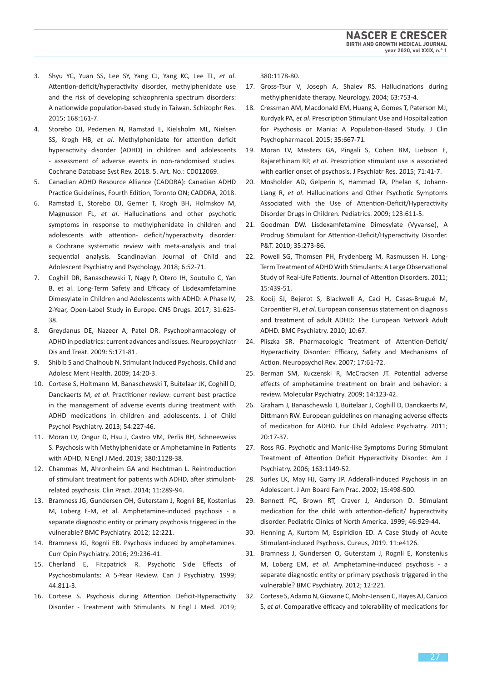- 3. Shyu YC, Yuan SS, Lee SY, Yang CJ, Yang KC, Lee TL, *et al*. Attention-deficit/hyperactivity disorder, methylphenidate use and the risk of developing schizophrenia spectrum disorders: A nationwide population-based study in Taiwan. Schizophr Res. 2015; 168:161-7.
- 4. Storebo OJ, Pedersen N, Ramstad E, Kielsholm ML, Nielsen SS, Krogh HB, *et al*. Methylphenidate for attention deficit hyperactivity disorder (ADHD) in children and adolescents - assessment of adverse events in non-randomised studies. Cochrane Database Syst Rev. 2018. 5. Art. No.: CD012069.
- 5. Canadian ADHD Resource Alliance (CADDRA): Canadian ADHD Practice Guidelines, Fourth Edition, Toronto ON; CADDRA, 2018.
- 6. Ramstad E, Storebo OJ, Gerner T, Krogh BH, Holmskov M, Magnusson FL, *et al*. Hallucinations and other psychotic symptoms in response to methylphenidate in children and adolescents with attention- deficit/hyperactivity disorder: a Cochrane systematic review with meta-analysis and trial sequential analysis. Scandinavian Journal of Child and Adolescent Psychiatry and Psychology. 2018; 6:52-71.
- 7. Coghill DR, Banaschewski T, Nagy P, Otero IH, Soutullo C, Yan B, et al. Long-Term Safety and Efficacy of Lisdexamfetamine Dimesylate in Children and Adolescents with ADHD: A Phase IV, 2-Year, Open-Label Study in Europe. CNS Drugs. 2017; 31:625- 38.
- 8. Greydanus DE, Nazeer A, Patel DR. Psychopharmacology of ADHD in pediatrics: current advances and issues. Neuropsychiatr Dis and Treat. 2009: 5:171-81.
- 9. Shibib S and Chalhoub N. Stimulant Induced Psychosis. Child and Adolesc Ment Health. 2009; 14:20-3.
- 10. Cortese S, Holtmann M, Banaschewski T, Buitelaar JK, Coghill D, Danckaerts M, *et al*. Practitioner review: current best practice in the management of adverse events during treatment with ADHD medications in children and adolescents. J of Child Psychol Psychiatry. 2013; 54:227-46.
- 11. Moran LV, Ongur D, Hsu J, Castro VM, Perlis RH, Schneeweiss S. Psychosis with Methylphenidate or Amphetamine in Patients with ADHD. N Engl J Med. 2019; 380:1128-38.
- 12. Chammas M, Ahronheim GA and Hechtman L. Reintroduction of stimulant treatment for patients with ADHD, after stimulantrelated psychosis. Clin Pract. 2014; 11:289-94.
- 13. Bramness JG, Gundersen OH, Guterstam J, Rognli BE, Kostenius M, Loberg E-M, et al. Amphetamine-induced psychosis - a separate diagnostic entity or primary psychosis triggered in the vulnerable? BMC Psychiatry. 2012; 12:221.
- 14. Bramness JG, Rognli EB. Psychosis induced by amphetamines. Curr Opin Psychiatry. 2016; 29:236-41.
- 15. Cherland E, Fitzpatrick R. Psychotic Side Effects of Psychostimulants: A 5-Year Review. Can J Psychiatry. 1999; 44:811-3.
- 16. Cortese S. Psychosis during Attention Deficit-Hyperactivity Disorder - Treatment with Stimulants. N Engl J Med. 2019;

380:1178-80.

- 17. Gross-Tsur V, Joseph A, Shalev RS. Hallucinations during methylphenidate therapy. Neurology. 2004; 63:753-4.
- 18. Cressman AM, Macdonald EM, Huang A, Gomes T, Paterson MJ, Kurdyak PA, *et al*. Prescription Stimulant Use and Hospitalization for Psychosis or Mania: A Population-Based Study. J Clin Psychopharmacol. 2015; 35:667-71.
- 19. Moran LV, Masters GA, Pingali S, Cohen BM, Liebson E, Rajarethinam RP, *et al*. Prescription stimulant use is associated with earlier onset of psychosis. J Psychiatr Res. 2015; 71:41-7.
- 20. Mosholder AD, Gelperin K, Hammad TA, Phelan K, Johann-Liang R, *et al*. Hallucinations and Other Psychotic Symptoms Associated with the Use of Attention-Deficit/Hyperactivity Disorder Drugs in Children. Pediatrics. 2009; 123:611-5.
- 21. Goodman DW. Lisdexamfetamine Dimesylate (Vyvanse), A Prodrug Stimulant for Attention-Deficit/Hyperactivity Disorder. P&T. 2010; 35:273-86.
- 22. Powell SG, Thomsen PH, Frydenberg M, Rasmussen H. Long-Term Treatment of ADHD With Stimulants: A Large Observational Study of Real-Life Patients. Journal of Attention Disorders. 2011; 15:439-51.
- 23. Kooij SJ, Bejerot S, Blackwell A, Caci H, Casas-Brugué M, Carpentier PJ, *et al*. European consensus statement on diagnosis and treatment of adult ADHD: The European Network Adult ADHD. BMC Psychiatry. 2010; 10:67.
- 24. Pliszka SR. Pharmacologic Treatment of Attention-Deficit/ Hyperactivity Disorder: Efficacy, Safety and Mechanisms of Action. Neuropsychol Rev. 2007; 17:61-72.
- 25. Berman SM, Kuczenski R, McCracken JT. Potential adverse effects of amphetamine treatment on brain and behavior: a review. Molecular Psychiatry. 2009; 14:123-42.
- 26. Graham J, Banaschewski T, Buitelaar J, Coghill D, Danckaerts M, Dittmann RW. European guidelines on managing adverse effects of medication for ADHD. Eur Child Adolesc Psychiatry. 2011; 20:17-37.
- 27. Ross RG. Psychotic and Manic-like Symptoms During Stimulant Treatment of Attention Deficit Hyperactivity Disorder. Am J Psychiatry. 2006; 163:1149-52.
- 28. Surles LK, May HJ, Garry JP. Adderall-Induced Psychosis in an Adolescent. J Am Board Fam Prac. 2002; 15:498-500.
- 29. Bennett FC, Brown RT, Craver J, Anderson D. Stimulant medication for the child with attention-deficit/ hyperactivity disorder. Pediatric Clinics of North America. 1999; 46:929-44.
- 30. Henning A, Kurtom M, Espiridion ED. A Case Study of Acute Stimulant-induced Psychosis. Cureus, 2019. 11:e4126.
- 31. Bramness J, Gundersen O, Guterstam J, Rognli E, Konstenius M, Loberg EM, *et al*. Amphetamine-induced psychosis - a separate diagnostic entity or primary psychosis triggered in the vulnerable? BMC Psychiatry. 2012; 12:221.
- 32. Cortese S, Adamo N, Giovane C, Mohr-Jensen C, Hayes AJ, Carucci S, *et al*. Comparative efficacy and tolerability of medications for